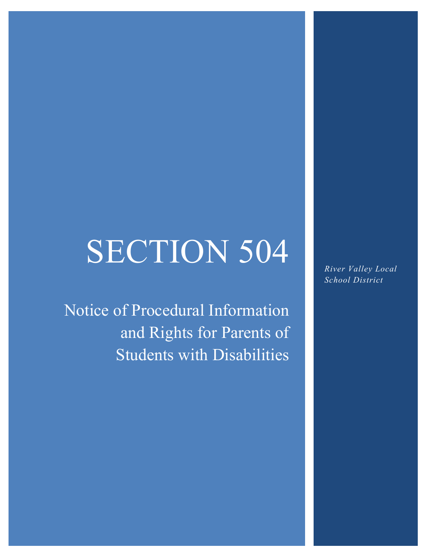# SECTION 504

Notice of Procedural Information and Rights for Parents of Students with Disabilities

*River Valley Local School District*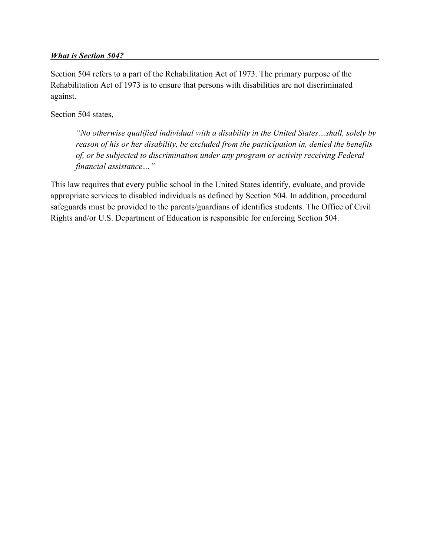#### *What is Section 504?*

Section 504 refers to a part of the Rehabilitation Act of 1973. The primary purpose of the Rehabilitation Act of 1973 is to ensure that persons with disabilities are not discriminated against.

Section 504 states,

*"No otherwise qualified individual with a disability in the United States…shall, solely by reason of his or her disability, be excluded from the participation in, denied the benefits of, or be subjected to discrimination under any program or activity receiving Federal financial assistance…"*

This law requires that every public school in the United States identify, evaluate, and provide appropriate services to disabled individuals as defined by Section 504. In addition, procedural safeguards must be provided to the parents/guardians of identifies students. The Office of Civil Rights and/or U.S. Department of Education is responsible for enforcing Section 504.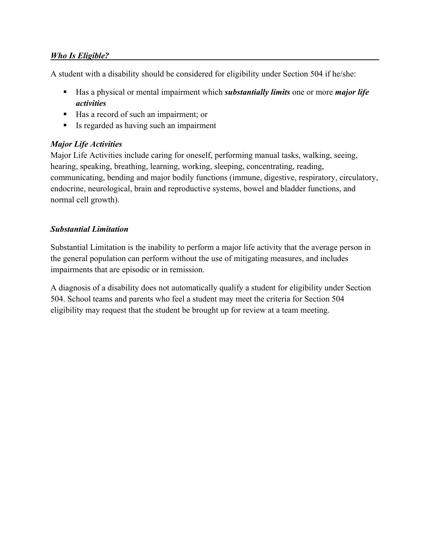## *Who Is Eligible?*

A student with a disability should be considered for eligibility under Section 504 if he/she:

- Has a physical or mental impairment which *substantially limits* one or more *major life activities*
- Has a record of such an impairment; or
- Is regarded as having such an impairment

# *Major Life Activities*

Major Life Activities include caring for oneself, performing manual tasks, walking, seeing, hearing, speaking, breathing, learning, working, sleeping, concentrating, reading, communicating, bending and major bodily functions (immune, digestive, respiratory, circulatory, endocrine, neurological, brain and reproductive systems, bowel and bladder functions, and normal cell growth).

# *Substantial Limitation*

Substantial Limitation is the inability to perform a major life activity that the average person in the general population can perform without the use of mitigating measures, and includes impairments that are episodic or in remission.

A diagnosis of a disability does not automatically qualify a student for eligibility under Section 504. School teams and parents who feel a student may meet the criteria for Section 504 eligibility may request that the student be brought up for review at a team meeting.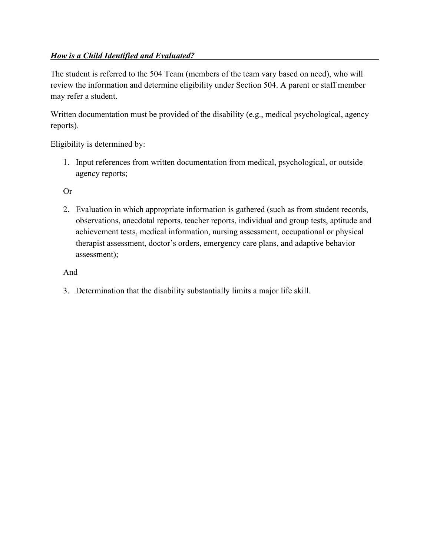# *How is a Child Identified and Evaluated?*

The student is referred to the 504 Team (members of the team vary based on need), who will review the information and determine eligibility under Section 504. A parent or staff member may refer a student.

Written documentation must be provided of the disability (e.g., medical psychological, agency reports).

Eligibility is determined by:

1. Input references from written documentation from medical, psychological, or outside agency reports;

Or

2. Evaluation in which appropriate information is gathered (such as from student records, observations, anecdotal reports, teacher reports, individual and group tests, aptitude and achievement tests, medical information, nursing assessment, occupational or physical therapist assessment, doctor's orders, emergency care plans, and adaptive behavior assessment);

And

3. Determination that the disability substantially limits a major life skill.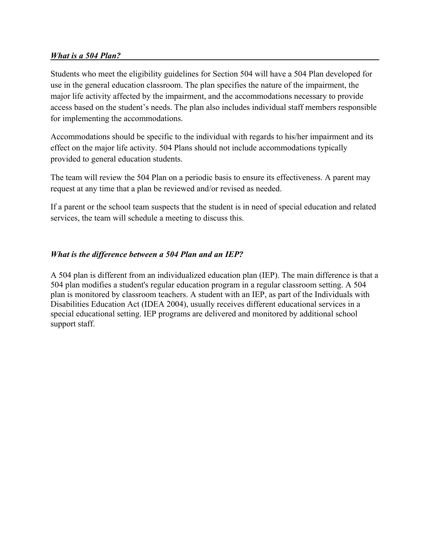#### *What is a 504 Plan?*

Students who meet the eligibility guidelines for Section 504 will have a 504 Plan developed for use in the general education classroom. The plan specifies the nature of the impairment, the major life activity affected by the impairment, and the accommodations necessary to provide access based on the student's needs. The plan also includes individual staff members responsible for implementing the accommodations.

Accommodations should be specific to the individual with regards to his/her impairment and its effect on the major life activity. 504 Plans should not include accommodations typically provided to general education students.

The team will review the 504 Plan on a periodic basis to ensure its effectiveness. A parent may request at any time that a plan be reviewed and/or revised as needed.

If a parent or the school team suspects that the student is in need of special education and related services, the team will schedule a meeting to discuss this.

#### *What is the difference between a 504 Plan and an IEP?*

A 504 plan is different from an individualized education plan (IEP). The main difference is that a 504 plan modifies a student's regular education program in a regular classroom setting. A 504 plan is monitored by classroom teachers. A student with an IEP, as part of the Individuals with Disabilities Education Act (IDEA 2004), usually receives different educational services in a special educational setting. IEP programs are delivered and monitored by additional school support staff.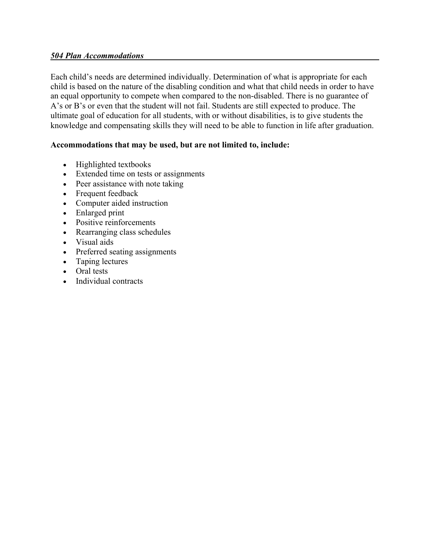#### *504 Plan Accommodations*

Each child's needs are determined individually. Determination of what is appropriate for each child is based on the nature of the disabling condition and what that child needs in order to have an equal opportunity to compete when compared to the non-disabled. There is no guarantee of A's or B's or even that the student will not fail. Students are still expected to produce. The ultimate goal of education for all students, with or without disabilities, is to give students the knowledge and compensating skills they will need to be able to function in life after graduation.

## **Accommodations that may be used, but are not limited to, include:**

- Highlighted textbooks
- Extended time on tests or assignments
- Peer assistance with note taking
- Frequent feedback
- Computer aided instruction
- Enlarged print
- Positive reinforcements
- Rearranging class schedules
- Visual aids
- Preferred seating assignments
- Taping lectures
- Oral tests
- Individual contracts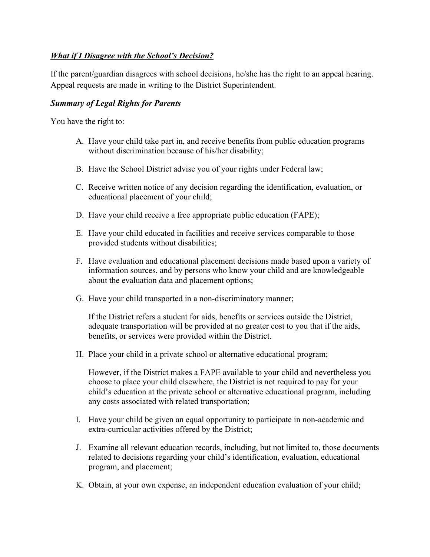## *What if I Disagree with the School's Decision?*

If the parent/guardian disagrees with school decisions, he/she has the right to an appeal hearing. Appeal requests are made in writing to the District Superintendent.

## *Summary of Legal Rights for Parents*

You have the right to:

- A. Have your child take part in, and receive benefits from public education programs without discrimination because of his/her disability;
- B. Have the School District advise you of your rights under Federal law;
- C. Receive written notice of any decision regarding the identification, evaluation, or educational placement of your child;
- D. Have your child receive a free appropriate public education (FAPE);
- E. Have your child educated in facilities and receive services comparable to those provided students without disabilities;
- F. Have evaluation and educational placement decisions made based upon a variety of information sources, and by persons who know your child and are knowledgeable about the evaluation data and placement options;
- G. Have your child transported in a non-discriminatory manner;

If the District refers a student for aids, benefits or services outside the District, adequate transportation will be provided at no greater cost to you that if the aids, benefits, or services were provided within the District.

H. Place your child in a private school or alternative educational program;

However, if the District makes a FAPE available to your child and nevertheless you choose to place your child elsewhere, the District is not required to pay for your child's education at the private school or alternative educational program, including any costs associated with related transportation;

- I. Have your child be given an equal opportunity to participate in non-academic and extra-curricular activities offered by the District;
- J. Examine all relevant education records, including, but not limited to, those documents related to decisions regarding your child's identification, evaluation, educational program, and placement;
- K. Obtain, at your own expense, an independent education evaluation of your child;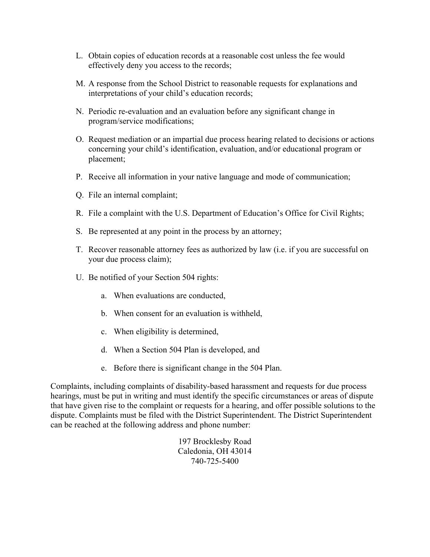- L. Obtain copies of education records at a reasonable cost unless the fee would effectively deny you access to the records;
- M. A response from the School District to reasonable requests for explanations and interpretations of your child's education records;
- N. Periodic re-evaluation and an evaluation before any significant change in program/service modifications;
- O. Request mediation or an impartial due process hearing related to decisions or actions concerning your child's identification, evaluation, and/or educational program or placement;
- P. Receive all information in your native language and mode of communication;
- Q. File an internal complaint;
- R. File a complaint with the U.S. Department of Education's Office for Civil Rights;
- S. Be represented at any point in the process by an attorney;
- T. Recover reasonable attorney fees as authorized by law (i.e. if you are successful on your due process claim);
- U. Be notified of your Section 504 rights:
	- a. When evaluations are conducted,
	- b. When consent for an evaluation is withheld,
	- c. When eligibility is determined,
	- d. When a Section 504 Plan is developed, and
	- e. Before there is significant change in the 504 Plan.

Complaints, including complaints of disability-based harassment and requests for due process hearings, must be put in writing and must identify the specific circumstances or areas of dispute that have given rise to the complaint or requests for a hearing, and offer possible solutions to the dispute. Complaints must be filed with the District Superintendent. The District Superintendent can be reached at the following address and phone number:

> 197 Brocklesby Road Caledonia, OH 43014 740-725-5400